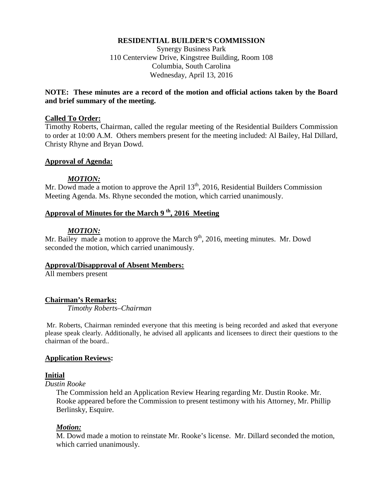#### **RESIDENTIAL BUILDER'S COMMISSION**

Synergy Business Park 110 Centerview Drive, Kingstree Building, Room 108 Columbia, South Carolina Wednesday, April 13, 2016

### **NOTE: These minutes are a record of the motion and official actions taken by the Board and brief summary of the meeting.**

#### **Called To Order:**

Timothy Roberts, Chairman, called the regular meeting of the Residential Builders Commission to order at 10:00 A.M. Others members present for the meeting included: Al Bailey, Hal Dillard, Christy Rhyne and Bryan Dowd.

#### **Approval of Agenda:**

#### *MOTION:*

Mr. Dowd made a motion to approve the April  $13<sup>th</sup>$ , 2016, Residential Builders Commission Meeting Agenda. Ms. Rhyne seconded the motion, which carried unanimously.

# **Approval of Minutes for the March 9 th, 2016 Meeting**

#### *MOTION:*

Mr. Bailey made a motion to approve the March  $9<sup>th</sup>$ , 2016, meeting minutes. Mr. Dowd seconded the motion, which carried unanimously.

#### **Approval/Disapproval of Absent Members:**

All members present

#### **Chairman's Remarks:**

*Timothy Roberts–Chairman*

Mr. Roberts, Chairman reminded everyone that this meeting is being recorded and asked that everyone please speak clearly. Additionally, he advised all applicants and licensees to direct their questions to the chairman of the board..

#### **Application Reviews:**

#### **Initial**

*Dustin Rooke*

The Commission held an Application Review Hearing regarding Mr. Dustin Rooke. Mr. Rooke appeared before the Commission to present testimony with his Attorney, Mr. Phillip Berlinsky, Esquire.

#### *Motion:*

M. Dowd made a motion to reinstate Mr. Rooke's license. Mr. Dillard seconded the motion, which carried unanimously.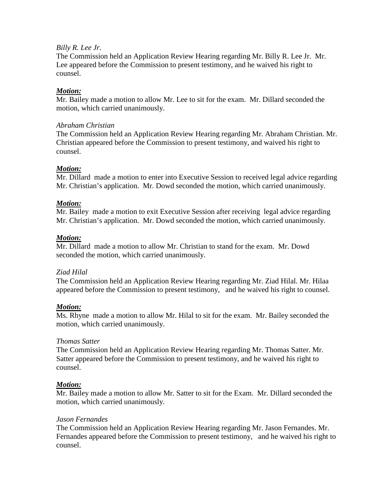### *Billy R. Lee Jr.*

The Commission held an Application Review Hearing regarding Mr. Billy R. Lee Jr. Mr. Lee appeared before the Commission to present testimony, and he waived his right to counsel.

# *Motion:*

Mr. Bailey made a motion to allow Mr. Lee to sit for the exam. Mr. Dillard seconded the motion, which carried unanimously.

## *Abraham Christian*

The Commission held an Application Review Hearing regarding Mr. Abraham Christian. Mr. Christian appeared before the Commission to present testimony, and waived his right to counsel.

# *Motion:*

Mr. Dillard made a motion to enter into Executive Session to received legal advice regarding Mr. Christian's application. Mr. Dowd seconded the motion, which carried unanimously.

### *Motion:*

Mr. Bailey made a motion to exit Executive Session after receiving legal advice regarding Mr. Christian's application. Mr. Dowd seconded the motion, which carried unanimously.

### *Motion:*

Mr. Dillard made a motion to allow Mr. Christian to stand for the exam. Mr. Dowd seconded the motion, which carried unanimously.

# *Ziad Hilal*

The Commission held an Application Review Hearing regarding Mr. Ziad Hilal. Mr. Hilaa appeared before the Commission to present testimony, and he waived his right to counsel.

# *Motion:*

Ms. Rhyne made a motion to allow Mr. Hilal to sit for the exam. Mr. Bailey seconded the motion, which carried unanimously.

# *Thomas Satter*

The Commission held an Application Review Hearing regarding Mr. Thomas Satter. Mr. Satter appeared before the Commission to present testimony, and he waived his right to counsel.

# *Motion:*

Mr. Bailey made a motion to allow Mr. Satter to sit for the Exam. Mr. Dillard seconded the motion, which carried unanimously.

# *Jason Fernandes*

The Commission held an Application Review Hearing regarding Mr. Jason Fernandes. Mr. Fernandes appeared before the Commission to present testimony, and he waived his right to counsel.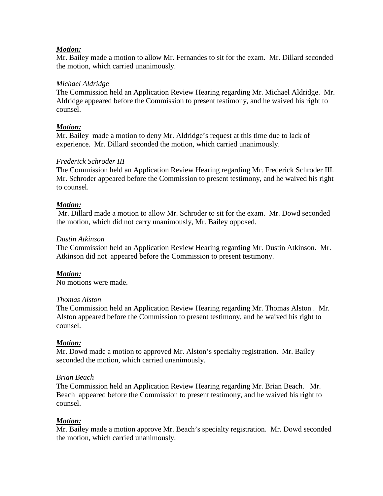### *Motion:*

Mr. Bailey made a motion to allow Mr. Fernandes to sit for the exam. Mr. Dillard seconded the motion, which carried unanimously.

### *Michael Aldridge*

The Commission held an Application Review Hearing regarding Mr. Michael Aldridge. Mr. Aldridge appeared before the Commission to present testimony, and he waived his right to counsel.

## *Motion:*

Mr. Bailey made a motion to deny Mr. Aldridge's request at this time due to lack of experience. Mr. Dillard seconded the motion, which carried unanimously.

### *Frederick Schroder III*

The Commission held an Application Review Hearing regarding Mr. Frederick Schroder III. Mr. Schroder appeared before the Commission to present testimony, and he waived his right to counsel.

### *Motion:*

Mr. Dillard made a motion to allow Mr. Schroder to sit for the exam. Mr. Dowd seconded the motion, which did not carry unanimously, Mr. Bailey opposed.

#### *Dustin Atkinson*

The Commission held an Application Review Hearing regarding Mr. Dustin Atkinson. Mr. Atkinson did not appeared before the Commission to present testimony.

# *Motion:*

No motions were made.

#### *Thomas Alston*

The Commission held an Application Review Hearing regarding Mr. Thomas Alston . Mr. Alston appeared before the Commission to present testimony, and he waived his right to counsel.

#### *Motion:*

Mr. Dowd made a motion to approved Mr. Alston's specialty registration. Mr. Bailey seconded the motion, which carried unanimously.

#### *Brian Beach*

The Commission held an Application Review Hearing regarding Mr. Brian Beach. Mr. Beach appeared before the Commission to present testimony, and he waived his right to counsel.

# *Motion:*

Mr. Bailey made a motion approve Mr. Beach's specialty registration. Mr. Dowd seconded the motion, which carried unanimously.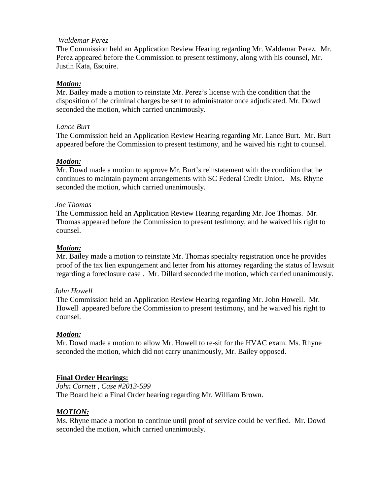### *Waldemar Perez*

The Commission held an Application Review Hearing regarding Mr. Waldemar Perez. Mr. Perez appeared before the Commission to present testimony, along with his counsel, Mr. Justin Kata, Esquire.

### *Motion:*

Mr. Bailey made a motion to reinstate Mr. Perez's license with the condition that the disposition of the criminal charges be sent to administrator once adjudicated. Mr. Dowd seconded the motion, which carried unanimously.

#### *Lance Burt*

The Commission held an Application Review Hearing regarding Mr. Lance Burt. Mr. Burt appeared before the Commission to present testimony, and he waived his right to counsel.

#### *Motion:*

Mr. Dowd made a motion to approve Mr. Burt's reinstatement with the condition that he continues to maintain payment arrangements with SC Federal Credit Union. Ms. Rhyne seconded the motion, which carried unanimously.

#### *Joe Thomas*

The Commission held an Application Review Hearing regarding Mr. Joe Thomas. Mr. Thomas appeared before the Commission to present testimony, and he waived his right to counsel.

#### *Motion:*

Mr. Bailey made a motion to reinstate Mr. Thomas specialty registration once he provides proof of the tax lien expungement and letter from his attorney regarding the status of lawsuit regarding a foreclosure case . Mr. Dillard seconded the motion, which carried unanimously.

#### *John Howell*

The Commission held an Application Review Hearing regarding Mr. John Howell. Mr. Howell appeared before the Commission to present testimony, and he waived his right to counsel.

#### *Motion:*

Mr. Dowd made a motion to allow Mr. Howell to re-sit for the HVAC exam. Ms. Rhyne seconded the motion, which did not carry unanimously, Mr. Bailey opposed.

#### **Final Order Hearings:**

*John Cornett , Case #2013-599* The Board held a Final Order hearing regarding Mr. William Brown.

#### *MOTION:*

Ms. Rhyne made a motion to continue until proof of service could be verified. Mr. Dowd seconded the motion, which carried unanimously.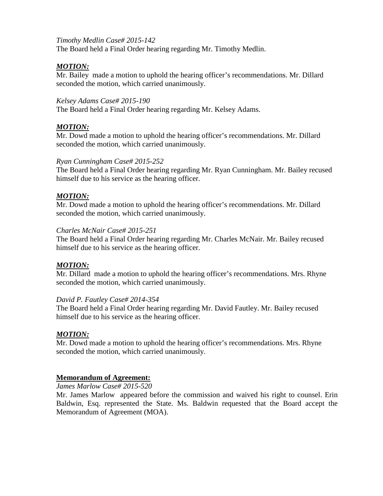# *Timothy Medlin Case# 2015-142*

The Board held a Final Order hearing regarding Mr. Timothy Medlin.

## *MOTION:*

Mr. Bailey made a motion to uphold the hearing officer's recommendations. Mr. Dillard seconded the motion, which carried unanimously.

#### *Kelsey Adams Case# 2015-190*

The Board held a Final Order hearing regarding Mr. Kelsey Adams.

## *MOTION:*

Mr. Dowd made a motion to uphold the hearing officer's recommendations. Mr. Dillard seconded the motion, which carried unanimously.

#### *Ryan Cunningham Case# 2015-252*

The Board held a Final Order hearing regarding Mr. Ryan Cunningham. Mr. Bailey recused himself due to his service as the hearing officer.

### *MOTION:*

Mr. Dowd made a motion to uphold the hearing officer's recommendations. Mr. Dillard seconded the motion, which carried unanimously.

#### *Charles McNair Case# 2015-251*

The Board held a Final Order hearing regarding Mr. Charles McNair. Mr. Bailey recused himself due to his service as the hearing officer.

# *MOTION:*

Mr. Dillard made a motion to uphold the hearing officer's recommendations. Mrs. Rhyne seconded the motion, which carried unanimously.

#### *David P. Fautley Case# 2014-354*

The Board held a Final Order hearing regarding Mr. David Fautley. Mr. Bailey recused himself due to his service as the hearing officer.

# *MOTION:*

Mr. Dowd made a motion to uphold the hearing officer's recommendations. Mrs. Rhyne seconded the motion, which carried unanimously.

# **Memorandum of Agreement:**

*James Marlow Case# 2015-520*

Mr. James Marlow appeared before the commission and waived his right to counsel. Erin Baldwin, Esq. represented the State. Ms. Baldwin requested that the Board accept the Memorandum of Agreement (MOA).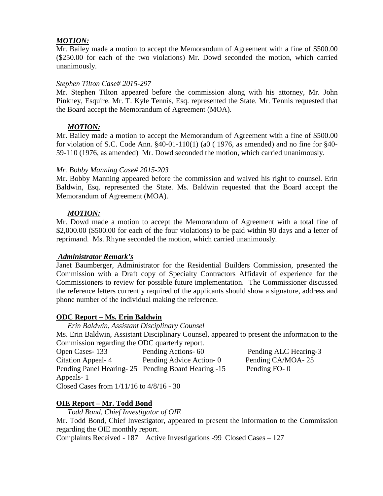## *MOTION:*

Mr. Bailey made a motion to accept the Memorandum of Agreement with a fine of \$500.00 (\$250.00 for each of the two violations) Mr. Dowd seconded the motion, which carried unanimously.

### *Stephen Tilton Case# 2015-297*

Mr. Stephen Tilton appeared before the commission along with his attorney, Mr. John Pinkney, Esquire. Mr. T. Kyle Tennis, Esq. represented the State. Mr. Tennis requested that the Board accept the Memorandum of Agreement (MOA).

# *MOTION:*

Mr. Bailey made a motion to accept the Memorandum of Agreement with a fine of \$500.00 for violation of S.C. Code Ann. §40-01-110(1) (a0 ( 1976, as amended) and no fine for §40- 59-110 (1976, as amended) Mr. Dowd seconded the motion, which carried unanimously.

### *Mr. Bobby Manning Case# 2015-203*

Mr. Bobby Manning appeared before the commission and waived his right to counsel. Erin Baldwin, Esq. represented the State. Ms. Baldwin requested that the Board accept the Memorandum of Agreement (MOA).

### *MOTION:*

Mr. Dowd made a motion to accept the Memorandum of Agreement with a total fine of \$2,000.00 (\$500.00 for each of the four violations) to be paid within 90 days and a letter of reprimand. Ms. Rhyne seconded the motion, which carried unanimously.

#### *Administrator Remark's*

Janet Baumberger, Administrator for the Residential Builders Commission, presented the Commission with a Draft copy of Specialty Contractors Affidavit of experience for the Commissioners to review for possible future implementation. The Commissioner discussed the reference letters currently required of the applicants should show a signature, address and phone number of the individual making the reference.

# **ODC Report – Ms. Erin Baldwin**

*Erin Baldwin, Assistant Disciplinary Counsel* Ms. Erin Baldwin, Assistant Disciplinary Counsel, appeared to present the information to the Commission regarding the ODC quarterly report. Open Cases- 133 Pending Actions- 60 Pending ALC Hearing-3 Citation Appeal- 4 Pending Advice Action- 0 Pending CA/MOA- 25 Pending Panel Hearing- 25 Pending Board Hearing -15 Pending FO- 0 Appeals- 1 Closed Cases from 1/11/16 to 4/8/16 - 30

# **OIE Report – Mr. Todd Bond**

*Todd Bond, Chief Investigator of OIE*

Mr. Todd Bond, Chief Investigator, appeared to present the information to the Commission regarding the OIE monthly report.

Complaints Received - 187 Active Investigations -99 Closed Cases – 127